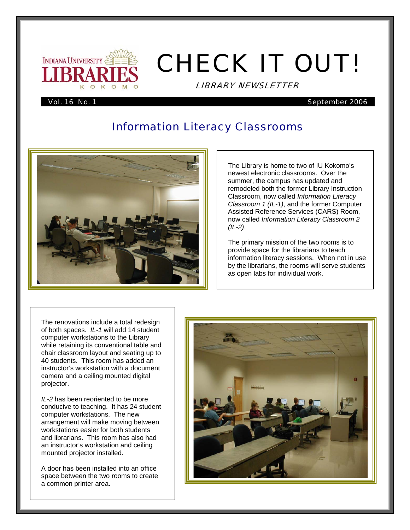

# CHECK IT OUT!

LIBRARY NEWSLETTER

#### Vol. 16 No. 1 September 2006

# Information Literacy Classrooms



The Library is home to two of IU Kokomo's newest electronic classrooms. Over the summer, the campus has updated and remodeled both the former Library Instruction Classroom, now called *Information Literacy Classroom 1 (IL-1)*, and the former Computer Assisted Reference Services (CARS) Room, now called *Information Literacy Classroom 2 (IL-2)*.

The primary mission of the two rooms is to provide space for the librarians to teach information literacy sessions. When not in use by the librarians, the rooms will serve students as open labs for individual work.

The renovations include a total redesign of both spaces. *IL-1* will add 14 student computer workstations to the Library while retaining its conventional table and chair classroom layout and seating up to 40 students. This room has added an instructor's workstation with a document camera and a ceiling mounted digital projector.

*IL-2* has been reoriented to be more conducive to teaching. It has 24 student computer workstations. The new arrangement will make moving between workstations easier for both students and librarians. This room has also had an instructor's workstation and ceiling mounted projector installed.

A door has been installed into an office space between the two rooms to create a common printer area.

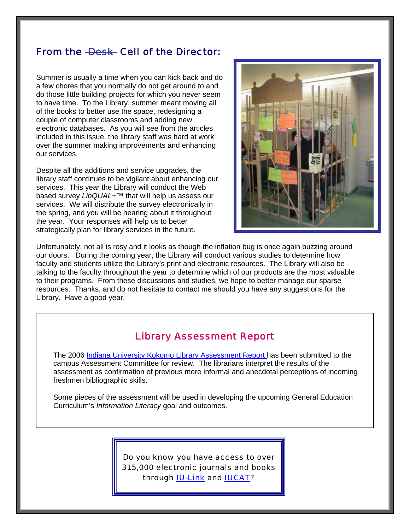# From the <del>Desk Cell</del> of the Director:

Summer is usually a time when you can kick back and do a few chores that you normally do not get around to and do those little building projects for which you never seem to have time. To the Library, summer meant moving all of the books to better use the space, redesigning a couple of computer classrooms and adding new electronic databases. As you will see from the articles included in this issue, the library staff was hard at work over the summer making improvements and enhancing our services.

Despite all the additions and service upgrades, the library staff continues to be vigilant about enhancing our services. This year the Library will conduct the Web based survey *LibQUAL+*™ that will help us assess our services. We will distribute the survey electronically in the spring, and you will be hearing about it throughout the year. Your responses will help us to better strategically plan for library services in the future.



Unfortunately, not all is rosy and it looks as though the inflation bug is once again buzzing around our doors. During the coming year, the Library will conduct various studies to determine how faculty and students utilize the Library's print and electronic resources. The Library will also be talking to the faculty throughout the year to determine which of our products are the most valuable to their programs. From these discussions and studies, we hope to better manage our sparse resources. Thanks, and do not hesitate to contact me should you have any suggestions for the Library. Have a good year.

## Library Assessment Report

The 2006 [Indiana University Kokomo Library Assessment Report h](http://www.iuk.edu/~kolibry/docs/AssessmentReport2006.pdf)as been submitted to the campus Assessment Committee for review. The librarians interpret the results of the assessment as confirmation of previous more informal and anecdotal perceptions of incoming freshmen bibliographic skills.

Some pieces of the assessment will be used in developing the upcoming General Education Curriculum's *Information Literacy* goal and outcomes.

> Do you know you have access to over 315,000 electronic journals and books through [IU-Link](http://www.iuk.edu/~kolibry/FindInfo/IULinkFAQ.shtml) and [IUCAT?](http://iucat.iu.edu/)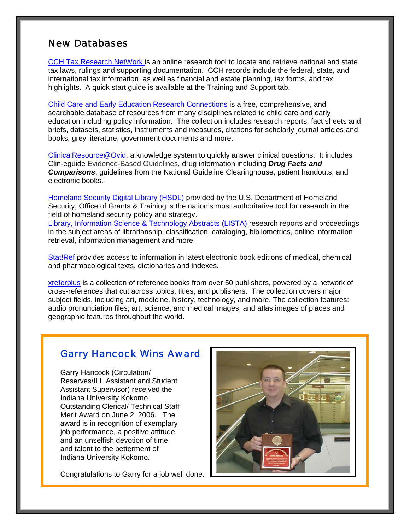# New Databases

[CCH Tax Research NetWork](http://ezproxy.iuk.edu/login?url=http://tax.cchgroup.com/ipnetwork) is an online research tool to locate and retrieve national and state tax laws, rulings and supporting documentation. CCH records include the federal, state, and international tax information, as well as financial and estate planning, tax forms, and tax highlights. A quick start guide is available at the Training and Support tab.

[Child Care and Early Education Research Connections](http://www.childcareresearch.org/) is a free, comprehensive, and searchable database of resources from many disciplines related to child care and early education including policy information. The collection includes research reports, fact sheets and briefs, datasets, statistics, instruments and measures, citations for scholarly journal articles and books, grey literature, government documents and more.

[ClinicalResource@Ovid](http://ezproxy.iuk.edu/login?url=http://gateway.ovid.com/autologin.html), a knowledge system to quickly answer clinical questions. It includes Clin-eguide Evidence-Based Guidelines, drug information including *Drug Facts and Comparisons*, guidelines from the National Guideline Clearinghouse, patient handouts, and electronic books.

[Homeland Security Digital Library \(HSDL\)](http://ezproxy.iuk.edu/login?url=http://www.hsdl.org) provided by the U.S. Department of Homeland Security, Office of Grants & Training is the nation's most authoritative tool for research in the field of homeland security policy and strategy.

[Library, Information Science & Technology Abstracts \(LISTA\)](http://web.ebscohost.com/ehost/search?hid=109&sid=53e0bfc7-9f77-42fc-9d91-2d98f5614db4%40sessionmgr101) research reports and proceedings in the subject areas of librarianship, classification, cataloging, bibliometrics, online information retrieval, information management and more.

[Stat!Ref p](http://ezproxy.iuk.edu/login?url=http://online.statref.com/default.asp?grpalias=IndianaU)rovides access to information in latest electronic book editions of medical, chemical and pharmacological texts, dictionaries and indexes.

[xreferplus](http://ezproxy.iuk.edu/login?url=http://www.xreferplus.com) is a collection of reference books from over 50 publishers, powered by a network of cross-references that cut across topics, titles, and publishers. The collection covers major subject fields, including art, medicine, history, technology, and more. The collection features: audio pronunciation files; art, science, and medical images; and atlas images of places and geographic features throughout the world.

# Garry Hancock Wins Award

Garry Hancock (Circulation/ Reserves/ILL Assistant and Student Assistant Supervisor) received the Indiana University Kokomo Outstanding Clerical/ Technical Staff Merit Award on June 2, 2006. The award is in recognition of exemplary job performance, a positive attitude and an unselfish devotion of time and talent to the betterment of Indiana University Kokomo.

Congratulations to Garry for a job well done.

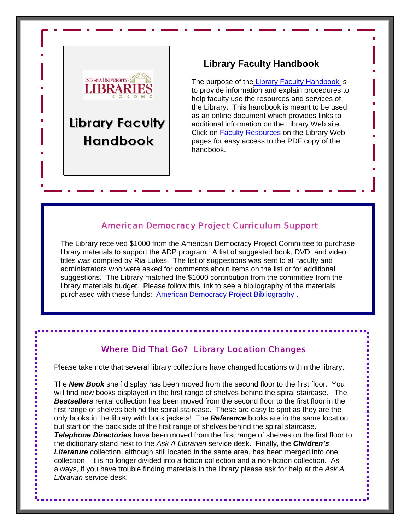

# **Library Faculty Handbook**

The purpose of the [Library Faculty Handbook i](http://www.iuk.edu/~kolibry/docs/LibraryFacultyHandbook.pdf)s to provide information and explain procedures to help faculty use the resources and services of the Library. This handbook is meant to be used as an online document which provides links to additional information on the Library Web site. Click o[n Faculty Resources](http://www.iuk.edu/~kolibry/FindInfo/FacultyResources.shtml) on the Library Web pages for easy access to the PDF copy of the handbook.

#### American Democracy Project Curriculum Support

The Library received \$1000 from the American Democracy Project Committee to purchase library materials to support the ADP program. A list of suggested book, DVD, and video titles was compiled by Ria Lukes. The list of suggestions was sent to all faculty and administrators who were asked for comments about items on the list or for additional suggestions. The Library matched the \$1000 contribution from the committee from the library materials budget. Please follow this link to see a bibliography of the materials purchased with these funds: [American Democracy Project Bibliography](http://www.iuk.edu/~kolibry/docs/ADPBibliography062006.pdf).

### Where Did That Go? Library Location Changes

Please take note that several library collections have changed locations within the library.

The *New Book* shelf display has been moved from the second floor to the first floor. You will find new books displayed in the first range of shelves behind the spiral staircase. The *Bestsellers* rental collection has been moved from the second floor to the first floor in the first range of shelves behind the spiral staircase. These are easy to spot as they are the only books in the library with book jackets! The *Reference* books are in the same location but start on the back side of the first range of shelves behind the spiral staircase. *Telephone Directories* have been moved from the first range of shelves on the first floor to the dictionary stand next to the *Ask A Librarian* service desk. Finally, the *Children's Literature* collection, although still located in the same area, has been merged into one collection—it is no longer divided into a fiction collection and a non-fiction collection. As always, if you have trouble finding materials in the library please ask for help at the *Ask A Librarian* service desk.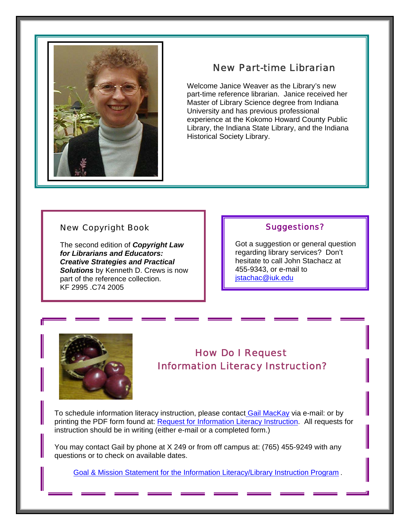

# New Part-time Librarian

Welcome Janice Weaver as the Library's new part-time reference librarian. Janice received her Master of Library Science degree from Indiana University and has previous professional experience at the Kokomo Howard County Public Library, the Indiana State Library, and the Indiana Historical Society Library.

#### New Copyright Book

The second edition of *Copyright Law for Librarians and Educators: Creative Strategies and Practical Solutions* by Kenneth D. Crews is now part of the reference collection. KF 2995 .C74 2005

#### Suggestions?

Got a suggestion or general question regarding library services? Don't hesitate to call John Stachacz at 455-9343, or e-mail to [jstachac@iuk.edu](mailto:jstachac@iuk.edu)



# How Do I Request Information Literacy Instruction?

To schedule information literacy instruction, please contact [Gail MacKay](mailto:gmackay@iuk.edu) via e-mail: or by printing the PDF form found at: [Request for Information Literacy Instruction](http://www.iuk.edu/~kolibry/docs/LibraryInstructionRequestForm.pdf). All requests for instruction should be in writing (either e-mail or a completed form.)

You may contact Gail by phone at X 249 or from off campus at: (765) 455-9249 with any questions or to check on available dates.

[Goal & Mission Statement for the Information Literacy/Library Instruction Program](http://www.iuk.edu/~kolibry/docs/MissionInfoLiteracy.pdf) .